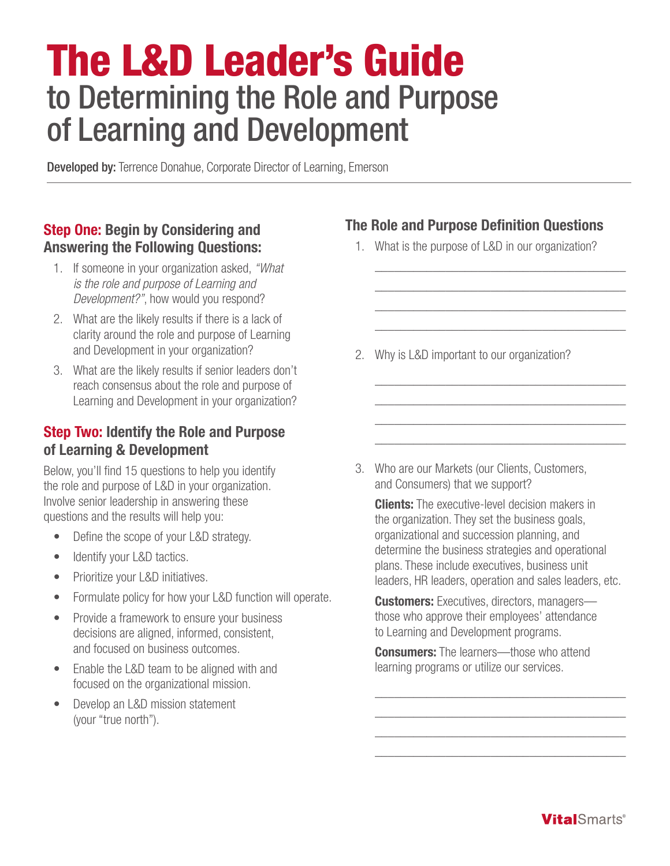# The L&D Leader's Guide to Determining the Role and Purpose of Learning and Development

**Developed by:** Terrence Donahue, Corporate Director of Learning, Emerson

## Step One: Begin by Considering and Answering the Following Questions:

- 1. If someone in your organization asked, *"What is the role and purpose of Learning and Development?"*, how would you respond?
- 2. What are the likely results if there is a lack of clarity around the role and purpose of Learning and Development in your organization?
- 3. What are the likely results if senior leaders don't reach consensus about the role and purpose of Learning and Development in your organization?

### Step Two: Identify the Role and Purpose of Learning & Development

Below, you'll find 15 questions to help you identify the role and purpose of L&D in your organization. Involve senior leadership in answering these questions and the results will help you:

- Define the scope of your L&D strategy.
- Identify your L&D tactics.
- Prioritize your L&D initiatives.
- Formulate policy for how your L&D function will operate.
- Provide a framework to ensure your business decisions are aligned, informed, consistent, and focused on business outcomes.
- Enable the L&D team to be aligned with and focused on the organizational mission.
- Develop an L&D mission statement (your "true north").

# The Role and Purpose Definition Questions

1. What is the purpose of L&D in our organization?

\_\_\_\_\_\_\_\_\_\_\_\_\_\_\_\_\_\_\_\_\_\_\_\_\_\_\_\_\_\_\_\_\_\_\_\_\_\_\_ \_\_\_\_\_\_\_\_\_\_\_\_\_\_\_\_\_\_\_\_\_\_\_\_\_\_\_\_\_\_\_\_\_\_\_\_\_\_\_ \_\_\_\_\_\_\_\_\_\_\_\_\_\_\_\_\_\_\_\_\_\_\_\_\_\_\_\_\_\_\_\_\_\_\_\_\_\_\_ \_\_\_\_\_\_\_\_\_\_\_\_\_\_\_\_\_\_\_\_\_\_\_\_\_\_\_\_\_\_\_\_\_\_\_\_\_\_\_

\_\_\_\_\_\_\_\_\_\_\_\_\_\_\_\_\_\_\_\_\_\_\_\_\_\_\_\_\_\_\_\_\_\_\_\_\_\_\_ \_\_\_\_\_\_\_\_\_\_\_\_\_\_\_\_\_\_\_\_\_\_\_\_\_\_\_\_\_\_\_\_\_\_\_\_\_\_\_ \_\_\_\_\_\_\_\_\_\_\_\_\_\_\_\_\_\_\_\_\_\_\_\_\_\_\_\_\_\_\_\_\_\_\_\_\_\_\_ \_\_\_\_\_\_\_\_\_\_\_\_\_\_\_\_\_\_\_\_\_\_\_\_\_\_\_\_\_\_\_\_\_\_\_\_\_\_\_

2. Why is L&D important to our organization?

3. Who are our Markets (our Clients, Customers, and Consumers) that we support?

**Clients:** The executive-level decision makers in the organization. They set the business goals, organizational and succession planning, and determine the business strategies and operational plans. These include executives, business unit leaders, HR leaders, operation and sales leaders, etc.

**Customers:** Executives, directors, managersthose who approve their employees' attendance to Learning and Development programs.

**Consumers:** The learners—those who attend learning programs or utilize our services.

\_\_\_\_\_\_\_\_\_\_\_\_\_\_\_\_\_\_\_\_\_\_\_\_\_\_\_\_\_\_\_\_\_\_\_\_\_\_\_ \_\_\_\_\_\_\_\_\_\_\_\_\_\_\_\_\_\_\_\_\_\_\_\_\_\_\_\_\_\_\_\_\_\_\_\_\_\_\_ \_\_\_\_\_\_\_\_\_\_\_\_\_\_\_\_\_\_\_\_\_\_\_\_\_\_\_\_\_\_\_\_\_\_\_\_\_\_\_ \_\_\_\_\_\_\_\_\_\_\_\_\_\_\_\_\_\_\_\_\_\_\_\_\_\_\_\_\_\_\_\_\_\_\_\_\_\_\_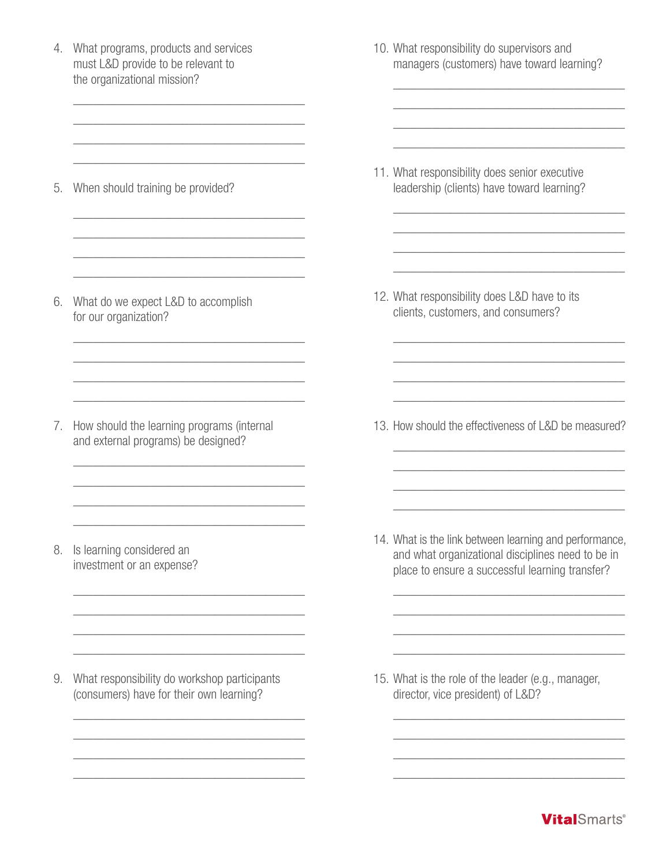4. What programs, products and services must L&D provide to be relevant to the organizational mission? \_\_\_\_\_\_\_\_\_\_\_\_\_\_\_\_\_\_\_\_\_\_\_\_\_\_\_\_\_\_\_\_\_\_\_\_ \_\_\_\_\_\_\_\_\_\_\_\_\_\_\_\_\_\_\_\_\_\_\_\_\_\_\_\_\_\_\_\_\_\_\_\_ \_\_\_\_\_\_\_\_\_\_\_\_\_\_\_\_\_\_\_\_\_\_\_\_\_\_\_\_\_\_\_\_\_\_\_\_ \_\_\_\_\_\_\_\_\_\_\_\_\_\_\_\_\_\_\_\_\_\_\_\_\_\_\_\_\_\_\_\_\_\_\_\_ 5. When should training be provided? \_\_\_\_\_\_\_\_\_\_\_\_\_\_\_\_\_\_\_\_\_\_\_\_\_\_\_\_\_\_\_\_\_\_\_\_ \_\_\_\_\_\_\_\_\_\_\_\_\_\_\_\_\_\_\_\_\_\_\_\_\_\_\_\_\_\_\_\_\_\_\_\_ \_\_\_\_\_\_\_\_\_\_\_\_\_\_\_\_\_\_\_\_\_\_\_\_\_\_\_\_\_\_\_\_\_\_\_\_ \_\_\_\_\_\_\_\_\_\_\_\_\_\_\_\_\_\_\_\_\_\_\_\_\_\_\_\_\_\_\_\_\_\_\_\_ 6. What do we expect L&D to accomplish for our organization? \_\_\_\_\_\_\_\_\_\_\_\_\_\_\_\_\_\_\_\_\_\_\_\_\_\_\_\_\_\_\_\_\_\_\_\_ \_\_\_\_\_\_\_\_\_\_\_\_\_\_\_\_\_\_\_\_\_\_\_\_\_\_\_\_\_\_\_\_\_\_\_\_ \_\_\_\_\_\_\_\_\_\_\_\_\_\_\_\_\_\_\_\_\_\_\_\_\_\_\_\_\_\_\_\_\_\_\_\_ \_\_\_\_\_\_\_\_\_\_\_\_\_\_\_\_\_\_\_\_\_\_\_\_\_\_\_\_\_\_\_\_\_\_\_\_ 7. How should the learning programs (internal and external programs) be designed? \_\_\_\_\_\_\_\_\_\_\_\_\_\_\_\_\_\_\_\_\_\_\_\_\_\_\_\_\_\_\_\_\_\_\_\_ \_\_\_\_\_\_\_\_\_\_\_\_\_\_\_\_\_\_\_\_\_\_\_\_\_\_\_\_\_\_\_\_\_\_\_\_ \_\_\_\_\_\_\_\_\_\_\_\_\_\_\_\_\_\_\_\_\_\_\_\_\_\_\_\_\_\_\_\_\_\_\_\_ \_\_\_\_\_\_\_\_\_\_\_\_\_\_\_\_\_\_\_\_\_\_\_\_\_\_\_\_\_\_\_\_\_\_\_\_ 8. Is learning considered an investment or an expense? \_\_\_\_\_\_\_\_\_\_\_\_\_\_\_\_\_\_\_\_\_\_\_\_\_\_\_\_\_\_\_\_\_\_\_\_ \_\_\_\_\_\_\_\_\_\_\_\_\_\_\_\_\_\_\_\_\_\_\_\_\_\_\_\_\_\_\_\_\_\_\_\_ \_\_\_\_\_\_\_\_\_\_\_\_\_\_\_\_\_\_\_\_\_\_\_\_\_\_\_\_\_\_\_\_\_\_\_\_ \_\_\_\_\_\_\_\_\_\_\_\_\_\_\_\_\_\_\_\_\_\_\_\_\_\_\_\_\_\_\_\_\_\_\_\_ 9. What responsibility do workshop participants (consumers) have for their own learning? \_\_\_\_\_\_\_\_\_\_\_\_\_\_\_\_\_\_\_\_\_\_\_\_\_\_\_\_\_\_\_\_\_\_\_\_ \_\_\_\_\_\_\_\_\_\_\_\_\_\_\_\_\_\_\_\_\_\_\_\_\_\_\_\_\_\_\_\_\_\_\_\_ \_\_\_\_\_\_\_\_\_\_\_\_\_\_\_\_\_\_\_\_\_\_\_\_\_\_\_\_\_\_\_\_\_\_\_\_ \_\_\_\_\_\_\_\_\_\_\_\_\_\_\_\_\_\_\_\_\_\_\_\_\_\_\_\_\_\_\_\_\_\_\_\_ 10. What responsibility do supervisors and managers (customers) have toward learning? \_\_\_\_\_\_\_\_\_\_\_\_\_\_\_\_\_\_\_\_\_\_\_\_\_\_\_\_\_\_\_\_\_\_\_\_ \_\_\_\_\_\_\_\_\_\_\_\_\_\_\_\_\_\_\_\_\_\_\_\_\_\_\_\_\_\_\_\_\_\_\_\_ \_\_\_\_\_\_\_\_\_\_\_\_\_\_\_\_\_\_\_\_\_\_\_\_\_\_\_\_\_\_\_\_\_\_\_\_ \_\_\_\_\_\_\_\_\_\_\_\_\_\_\_\_\_\_\_\_\_\_\_\_\_\_\_\_\_\_\_\_\_\_\_\_ 11. What responsibility does senior executive leadership (clients) have toward learning? \_\_\_\_\_\_\_\_\_\_\_\_\_\_\_\_\_\_\_\_\_\_\_\_\_\_\_\_\_\_\_\_\_\_\_\_ \_\_\_\_\_\_\_\_\_\_\_\_\_\_\_\_\_\_\_\_\_\_\_\_\_\_\_\_\_\_\_\_\_\_\_\_ \_\_\_\_\_\_\_\_\_\_\_\_\_\_\_\_\_\_\_\_\_\_\_\_\_\_\_\_\_\_\_\_\_\_\_\_ \_\_\_\_\_\_\_\_\_\_\_\_\_\_\_\_\_\_\_\_\_\_\_\_\_\_\_\_\_\_\_\_\_\_\_\_ 12. What responsibility does L&D have to its clients, customers, and consumers? \_\_\_\_\_\_\_\_\_\_\_\_\_\_\_\_\_\_\_\_\_\_\_\_\_\_\_\_\_\_\_\_\_\_\_\_ \_\_\_\_\_\_\_\_\_\_\_\_\_\_\_\_\_\_\_\_\_\_\_\_\_\_\_\_\_\_\_\_\_\_\_\_ \_\_\_\_\_\_\_\_\_\_\_\_\_\_\_\_\_\_\_\_\_\_\_\_\_\_\_\_\_\_\_\_\_\_\_\_ \_\_\_\_\_\_\_\_\_\_\_\_\_\_\_\_\_\_\_\_\_\_\_\_\_\_\_\_\_\_\_\_\_\_\_\_ 13. How should the effectiveness of L&D be measured? \_\_\_\_\_\_\_\_\_\_\_\_\_\_\_\_\_\_\_\_\_\_\_\_\_\_\_\_\_\_\_\_\_\_\_\_ \_\_\_\_\_\_\_\_\_\_\_\_\_\_\_\_\_\_\_\_\_\_\_\_\_\_\_\_\_\_\_\_\_\_\_\_ \_\_\_\_\_\_\_\_\_\_\_\_\_\_\_\_\_\_\_\_\_\_\_\_\_\_\_\_\_\_\_\_\_\_\_\_ \_\_\_\_\_\_\_\_\_\_\_\_\_\_\_\_\_\_\_\_\_\_\_\_\_\_\_\_\_\_\_\_\_\_\_\_ 14. What is the link between learning and performance, and what organizational disciplines need to be in place to ensure a successful learning transfer? \_\_\_\_\_\_\_\_\_\_\_\_\_\_\_\_\_\_\_\_\_\_\_\_\_\_\_\_\_\_\_\_\_\_\_\_ \_\_\_\_\_\_\_\_\_\_\_\_\_\_\_\_\_\_\_\_\_\_\_\_\_\_\_\_\_\_\_\_\_\_\_\_ \_\_\_\_\_\_\_\_\_\_\_\_\_\_\_\_\_\_\_\_\_\_\_\_\_\_\_\_\_\_\_\_\_\_\_\_ \_\_\_\_\_\_\_\_\_\_\_\_\_\_\_\_\_\_\_\_\_\_\_\_\_\_\_\_\_\_\_\_\_\_\_\_ 15. What is the role of the leader (e.g., manager, director, vice president) of L&D? \_\_\_\_\_\_\_\_\_\_\_\_\_\_\_\_\_\_\_\_\_\_\_\_\_\_\_\_\_\_\_\_\_\_\_\_ \_\_\_\_\_\_\_\_\_\_\_\_\_\_\_\_\_\_\_\_\_\_\_\_\_\_\_\_\_\_\_\_\_\_\_\_ \_\_\_\_\_\_\_\_\_\_\_\_\_\_\_\_\_\_\_\_\_\_\_\_\_\_\_\_\_\_\_\_\_\_\_\_ \_\_\_\_\_\_\_\_\_\_\_\_\_\_\_\_\_\_\_\_\_\_\_\_\_\_\_\_\_\_\_\_\_\_\_\_